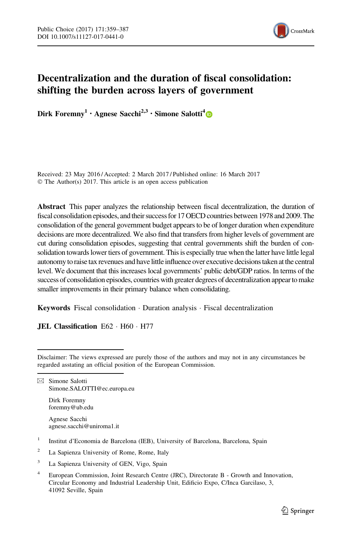

# Decentralization and the duration of fiscal consolidation: shifting the burden across layers of government

Dirk Foremny<sup>1</sup> • Agnese Sacchi<sup>2,3</sup> • Simone Salotti<sup>4</sup>

Received: 23 May 2016 / Accepted: 2 March 2017 / Published online: 16 March 2017 © The Author(s) 2017. This article is an open access publication

Abstract This paper analyzes the relationship between fiscal decentralization, the duration of fiscal consolidation episodes, and their success for 17 OECD countries between 1978 and 2009. The consolidation of the general government budget appears to be of longer duration when expenditure decisions are more decentralized. We also find that transfers from higher levels of government are cut during consolidation episodes, suggesting that central governments shift the burden of consolidation towards lower tiers of government. This is especially true when the latter have little legal autonomy to raise tax revenues and have little influence over executive decisions taken at the central level. We document that this increases local governments' public debt/GDP ratios. In terms of the success of consolidation episodes, countries with greater degrees of decentralization appearto make smaller improvements in their primary balance when consolidating.

Keywords Fiscal consolidation - Duration analysis - Fiscal decentralization

**JEL Classification**  $E62 \cdot H60 \cdot H77$ 

 $\boxtimes$  Simone Salotti Simone.SALOTTI@ec.europa.eu

> Dirk Foremny foremny@ub.edu

Agnese Sacchi agnese.sacchi@uniroma1.it

- <sup>1</sup> Institut d'Economia de Barcelona (IEB), University of Barcelona, Barcelona, Spain
- <sup>2</sup> La Sapienza University of Rome, Rome, Italy
- <sup>3</sup> La Sapienza University of GEN, Vigo, Spain
- <sup>4</sup> European Commission, Joint Research Centre (JRC), Directorate B Growth and Innovation, Circular Economy and Industrial Leadership Unit, Edificio Expo, C/Inca Garcilaso, 3, 41092 Seville, Spain

Disclaimer: The views expressed are purely those of the authors and may not in any circumstances be regarded asstating an official position of the European Commission.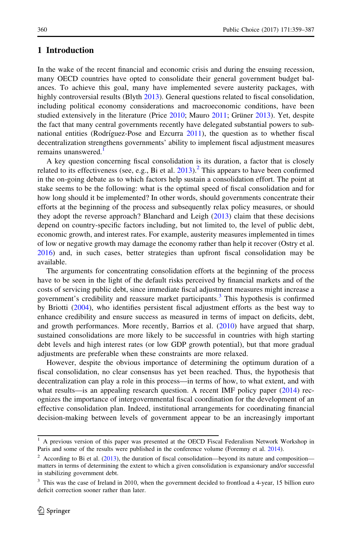## 1 Introduction

In the wake of the recent financial and economic crisis and during the ensuing recession, many OECD countries have opted to consolidate their general government budget balances. To achieve this goal, many have implemented severe austerity packages, with highly controversial results (Blyth [2013\)](#page-26-0). General questions related to fiscal consolidation, including political economy considerations and macroeconomic conditions, have been studied extensively in the literature (Price  $2010$ ; Mauro  $2011$ ; Grüner  $2013$ ). Yet, despite the fact that many central governments recently have delegated substantial powers to subnational entities (Rodríguez-Pose and Ezcurra  $2011$ ), the question as to whether fiscal decentralization strengthens governments' ability to implement fiscal adjustment measures remains unanswered.<sup>1</sup>

A key question concerning fiscal consolidation is its duration, a factor that is closely related to its effectiveness (see, e.g., Bi et al.  $2013$ ).<sup>2</sup> This appears to have been confirmed in the on-going debate as to which factors help sustain a consolidation effort. The point at stake seems to be the following: what is the optimal speed of fiscal consolidation and for how long should it be implemented? In other words, should governments concentrate their efforts at the beginning of the process and subsequently relax policy measures, or should they adopt the reverse approach? Blanchard and Leigh ([2013\)](#page-26-0) claim that these decisions depend on country-specific factors including, but not limited to, the level of public debt, economic growth, and interest rates. For example, austerity measures implemented in times of low or negative growth may damage the economy rather than help it recover (Ostry et al. [2016\)](#page-27-0) and, in such cases, better strategies than upfront fiscal consolidation may be available.

The arguments for concentrating consolidation efforts at the beginning of the process have to be seen in the light of the default risks perceived by financial markets and of the costs of servicing public debt, since immediate fiscal adjustment measures might increase a government's credibility and reassure market participants.<sup>3</sup> This hypothesis is confirmed by Briotti [\(2004](#page-26-0)), who identifies persistent fiscal adjustment efforts as the best way to enhance credibility and ensure success as measured in terms of impact on deficits, debt, and growth performances. More recently, Barrios et al. ([2010\)](#page-26-0) have argued that sharp, sustained consolidations are more likely to be successful in countries with high starting debt levels and high interest rates (or low GDP growth potential), but that more gradual adjustments are preferable when these constraints are more relaxed.

However, despite the obvious importance of determining the optimum duration of a fiscal consolidation, no clear consensus has yet been reached. Thus, the hypothesis that decentralization can play a role in this process—in terms of how, to what extent, and with what results—is an appealing research question. A recent IMF policy paper [\(2014](#page-27-0)) recognizes the importance of intergovernmental fiscal coordination for the development of an effective consolidation plan. Indeed, institutional arrangements for coordinating financial decision-making between levels of government appear to be an increasingly important

<sup>1</sup> A previous version of this paper was presented at the OECD Fiscal Federalism Network Workshop in Paris and some of the results were published in the conference volume (Foremny et al. [2014](#page-26-0)).

<sup>2</sup> According to Bi et al. ([2013](#page-26-0)), the duration of fiscal consolidation—beyond its nature and composition matters in terms of determining the extent to which a given consolidation is expansionary and/or successful in stabilizing government debt.

 $3$  This was the case of Ireland in 2010, when the government decided to frontload a 4-year, 15 billion euro deficit correction sooner rather than later.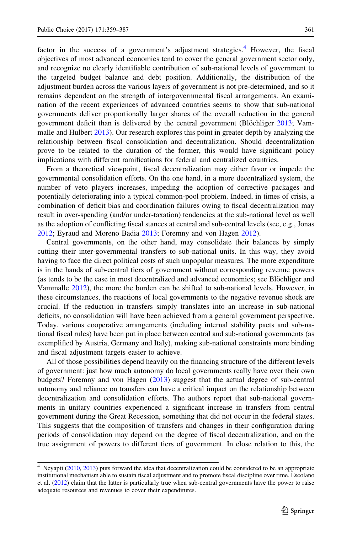factor in the success of a government's adjustment strategies.<sup>4</sup> However, the fiscal objectives of most advanced economies tend to cover the general government sector only, and recognize no clearly identifiable contribution of sub-national levels of government to the targeted budget balance and debt position. Additionally, the distribution of the adjustment burden across the various layers of government is not pre-determined, and so it remains dependent on the strength of intergovernmental fiscal arrangements. An examination of the recent experiences of advanced countries seems to show that sub-national governments deliver proportionally larger shares of the overall reduction in the general government deficit than is delivered by the central government (Blöchliger [2013;](#page-26-0) Vammalle and Hulbert [2013\)](#page-27-0). Our research explores this point in greater depth by analyzing the relationship between fiscal consolidation and decentralization. Should decentralization prove to be related to the duration of the former, this would have significant policy implications with different ramifications for federal and centralized countries.

From a theoretical viewpoint, fiscal decentralization may either favor or impede the governmental consolidation efforts. On the one hand, in a more decentralized system, the number of veto players increases, impeding the adoption of corrective packages and potentially deteriorating into a typical common-pool problem. Indeed, in times of crisis, a combination of deficit bias and coordination failures owing to fiscal decentralization may result in over-spending (and/or under-taxation) tendencies at the sub-national level as well as the adoption of conflicting fiscal stances at central and sub-central levels (see, e.g., Jonas [2012;](#page-27-0) Eyraud and Moreno Badia [2013](#page-26-0); Foremny and von Hagen [2012](#page-27-0)).

Central governments, on the other hand, may consolidate their balances by simply cutting their inter-governmental transfers to sub-national units. In this way, they avoid having to face the direct political costs of such unpopular measures. The more expenditure is in the hands of sub-central tiers of government without corresponding revenue powers (as tends to be the case in most decentralized and advanced economies; see Blöchliger and Vammalle [2012\)](#page-26-0), the more the burden can be shifted to sub-national levels. However, in these circumstances, the reactions of local governments to the negative revenue shock are crucial. If the reduction in transfers simply translates into an increase in sub-national deficits, no consolidation will have been achieved from a general government perspective. Today, various cooperative arrangements (including internal stability pacts and sub-national fiscal rules) have been put in place between central and sub-national governments (as exemplified by Austria, Germany and Italy), making sub-national constraints more binding and fiscal adjustment targets easier to achieve.

All of those possibilities depend heavily on the financing structure of the different levels of government: just how much autonomy do local governments really have over their own budgets? Foremny and von Hagen [\(2013](#page-27-0)) suggest that the actual degree of sub-central autonomy and reliance on transfers can have a critical impact on the relationship between decentralization and consolidation efforts. The authors report that sub-national governments in unitary countries experienced a significant increase in transfers from central government during the Great Recession, something that did not occur in the federal states. This suggests that the composition of transfers and changes in their configuration during periods of consolidation may depend on the degree of fiscal decentralization, and on the true assignment of powers to different tiers of government. In close relation to this, the

Neyapti ([2010,](#page-27-0) [2013\)](#page-27-0) puts forward the idea that decentralization could be considered to be an appropriate institutional mechanism able to sustain fiscal adjustment and to promote fiscal discipline over time. Escolano et al. ([2012\)](#page-26-0) claim that the latter is particularly true when sub-central governments have the power to raise adequate resources and revenues to cover their expenditures.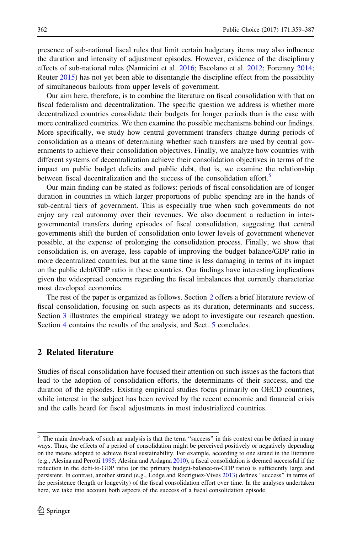presence of sub-national fiscal rules that limit certain budgetary items may also influence the duration and intensity of adjustment episodes. However, evidence of the disciplinary effects of sub-national rules (Nannicini et al. [2016;](#page-27-0) Escolano et al. [2012;](#page-26-0) Foremny [2014;](#page-26-0) Reuter [2015\)](#page-27-0) has not yet been able to disentangle the discipline effect from the possibility of simultaneous bailouts from upper levels of government.

Our aim here, therefore, is to combine the literature on fiscal consolidation with that on fiscal federalism and decentralization. The specific question we address is whether more decentralized countries consolidate their budgets for longer periods than is the case with more centralized countries. We then examine the possible mechanisms behind our findings. More specifically, we study how central government transfers change during periods of consolidation as a means of determining whether such transfers are used by central governments to achieve their consolidation objectives. Finally, we analyze how countries with different systems of decentralization achieve their consolidation objectives in terms of the impact on public budget deficits and public debt, that is, we examine the relationship between fiscal decentralization and the success of the consolidation effort.<sup>5</sup>

Our main finding can be stated as follows: periods of fiscal consolidation are of longer duration in countries in which larger proportions of public spending are in the hands of sub-central tiers of government. This is especially true when such governments do not enjoy any real autonomy over their revenues. We also document a reduction in intergovernmental transfers during episodes of fiscal consolidation, suggesting that central governments shift the burden of consolidation onto lower levels of government whenever possible, at the expense of prolonging the consolidation process. Finally, we show that consolidation is, on average, less capable of improving the budget balance/GDP ratio in more decentralized countries, but at the same time is less damaging in terms of its impact on the public debt/GDP ratio in these countries. Our findings have interesting implications given the widespread concerns regarding the fiscal imbalances that currently characterize most developed economies.

The rest of the paper is organized as follows. Section 2 offers a brief literature review of fiscal consolidation, focusing on such aspects as its duration, determinants and success. Section [3](#page-7-0) illustrates the empirical strategy we adopt to investigate our research question. Section [4](#page-11-0) contains the results of the analysis, and Sect. [5](#page-24-0) concludes.

#### 2 Related literature

Studies of fiscal consolidation have focused their attention on such issues as the factors that lead to the adoption of consolidation efforts, the determinants of their success, and the duration of the episodes. Existing empirical studies focus primarily on OECD countries, while interest in the subject has been revived by the recent economic and financial crisis and the calls heard for fiscal adjustments in most industrialized countries.

<sup>&</sup>lt;sup>5</sup> The main drawback of such an analysis is that the term "success" in this context can be defined in many ways. Thus, the effects of a period of consolidation might be perceived positively or negatively depending on the means adopted to achieve fiscal sustainability. For example, according to one strand in the literature (e.g., Alesina and Perotti [1995](#page-26-0); Alesina and Ardagna [2010](#page-26-0)), a fiscal consolidation is deemed successful if the reduction in the debt-to-GDP ratio (or the primary budget-balance-to-GDP ratio) is sufficiently large and persistent. In contrast, another strand (e.g., Lodge and Rodriguez-Vives [2013\)](#page-27-0) defines ''success'' in terms of the persistence (length or longevity) of the fiscal consolidation effort over time. In the analyses undertaken here, we take into account both aspects of the success of a fiscal consolidation episode.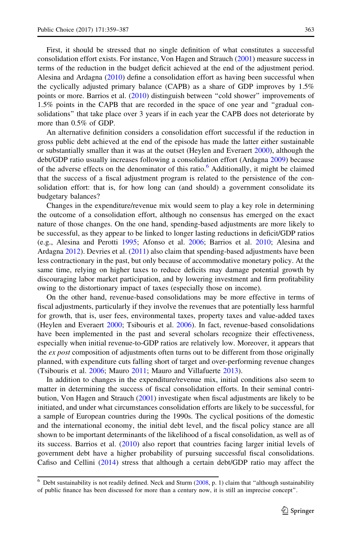First, it should be stressed that no single definition of what constitutes a successful consolidation effort exists. For instance, Von Hagen and Strauch [\(2001](#page-28-0)) measure success in terms of the reduction in the budget deficit achieved at the end of the adjustment period. Alesina and Ardagna ([2010\)](#page-26-0) define a consolidation effort as having been successful when the cyclically adjusted primary balance (CAPB) as a share of GDP improves by 1.5% points or more. Barrios et al. ([2010\)](#page-26-0) distinguish between ''cold shower'' improvements of 1.5% points in the CAPB that are recorded in the space of one year and ''gradual consolidations'' that take place over 3 years if in each year the CAPB does not deteriorate by more than 0.5% of GDP.

An alternative definition considers a consolidation effort successful if the reduction in gross public debt achieved at the end of the episode has made the latter either sustainable or substantially smaller than it was at the outset (Heylen and Everaert [2000\)](#page-27-0), although the debt/GDP ratio usually increases following a consolidation effort (Ardagna [2009\)](#page-26-0) because of the adverse effects on the denominator of this ratio.<sup>6</sup> Additionally, it might be claimed that the success of a fiscal adjustment program is related to the persistence of the consolidation effort: that is, for how long can (and should) a government consolidate its budgetary balances?

Changes in the expenditure/revenue mix would seem to play a key role in determining the outcome of a consolidation effort, although no consensus has emerged on the exact nature of those changes. On the one hand, spending-based adjustments are more likely to be successful, as they appear to be linked to longer lasting reductions in deficit/GDP ratios (e.g., Alesina and Perotti [1995;](#page-26-0) Afonso et al. [2006;](#page-26-0) Barrios et al. [2010](#page-26-0); Alesina and Ardagna [2012\)](#page-26-0). Devries et al. ([2011\)](#page-26-0) also claim that spending-based adjustments have been less contractionary in the past, but only because of accommodative monetary policy. At the same time, relying on higher taxes to reduce deficits may damage potential growth by discouraging labor market participation, and by lowering investment and firm profitability owing to the distortionary impact of taxes (especially those on income).

On the other hand, revenue-based consolidations may be more effective in terms of fiscal adjustments, particularly if they involve the revenues that are potentially less harmful for growth, that is, user fees, environmental taxes, property taxes and value-added taxes (Heylen and Everaert [2000](#page-27-0); Tsibouris et al. [2006](#page-27-0)). In fact, revenue-based consolidations have been implemented in the past and several scholars recognize their effectiveness, especially when initial revenue-to-GDP ratios are relatively low. Moreover, it appears that the ex post composition of adjustments often turns out to be different from those originally planned, with expenditure cuts falling short of target and over-performing revenue changes (Tsibouris et al. [2006](#page-27-0); Mauro [2011](#page-27-0); Mauro and Villafuerte [2013\)](#page-27-0).

In addition to changes in the expenditure/revenue mix, initial conditions also seem to matter in determining the success of fiscal consolidation efforts. In their seminal contribution, Von Hagen and Strauch [\(2001](#page-28-0)) investigate when fiscal adjustments are likely to be initiated, and under what circumstances consolidation efforts are likely to be successful, for a sample of European countries during the 1990s. The cyclical positions of the domestic and the international economy, the initial debt level, and the fiscal policy stance are all shown to be important determinants of the likelihood of a fiscal consolidation, as well as of its success. Barrios et al. [\(2010](#page-26-0)) also report that countries facing larger initial levels of government debt have a higher probability of pursuing successful fiscal consolidations. Cafiso and Cellini ([2014\)](#page-26-0) stress that although a certain debt/GDP ratio may affect the

<sup>6</sup> Debt sustainability is not readily defined. Neck and Sturm ([2008,](#page-27-0) p. 1) claim that ''although sustainability of public finance has been discussed for more than a century now, it is still an imprecise concept''.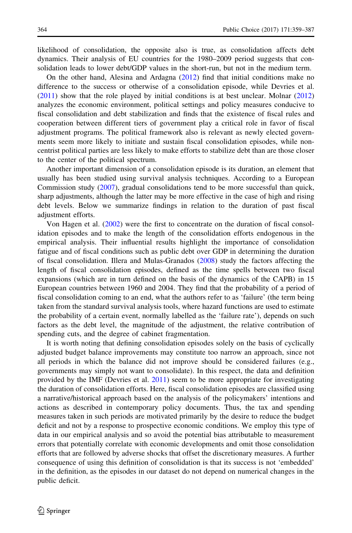likelihood of consolidation, the opposite also is true, as consolidation affects debt dynamics. Their analysis of EU countries for the 1980–2009 period suggests that consolidation leads to lower debt/GDP values in the short-run, but not in the medium term.

On the other hand, Alesina and Ardagna ([2012\)](#page-26-0) find that initial conditions make no difference to the success or otherwise of a consolidation episode, while Devries et al. ([2011\)](#page-26-0) show that the role played by initial conditions is at best unclear. Molnar ([2012](#page-27-0)) analyzes the economic environment, political settings and policy measures conducive to fiscal consolidation and debt stabilization and finds that the existence of fiscal rules and cooperation between different tiers of government play a critical role in favor of fiscal adjustment programs. The political framework also is relevant as newly elected governments seem more likely to initiate and sustain fiscal consolidation episodes, while noncentrist political parties are less likely to make efforts to stabilize debt than are those closer to the center of the political spectrum.

Another important dimension of a consolidation episode is its duration, an element that usually has been studied using survival analysis techniques. According to a European Commission study ([2007\)](#page-26-0), gradual consolidations tend to be more successful than quick, sharp adjustments, although the latter may be more effective in the case of high and rising debt levels. Below we summarize findings in relation to the duration of past fiscal adjustment efforts.

Von Hagen et al. [\(2002](#page-28-0)) were the first to concentrate on the duration of fiscal consolidation episodes and to make the length of the consolidation efforts endogenous in the empirical analysis. Their influential results highlight the importance of consolidation fatigue and of fiscal conditions such as public debt over GDP in determining the duration of fiscal consolidation. Illera and Mulas-Granados [\(2008](#page-27-0)) study the factors affecting the length of fiscal consolidation episodes, defined as the time spells between two fiscal expansions (which are in turn defined on the basis of the dynamics of the CAPB) in 15 European countries between 1960 and 2004. They find that the probability of a period of fiscal consolidation coming to an end, what the authors refer to as 'failure' (the term being taken from the standard survival analysis tools, where hazard functions are used to estimate the probability of a certain event, normally labelled as the 'failure rate'), depends on such factors as the debt level, the magnitude of the adjustment, the relative contribution of spending cuts, and the degree of cabinet fragmentation.

It is worth noting that defining consolidation episodes solely on the basis of cyclically adjusted budget balance improvements may constitute too narrow an approach, since not all periods in which the balance did not improve should be considered failures (e.g., governments may simply not want to consolidate). In this respect, the data and definition provided by the IMF (Devries et al. [2011](#page-26-0)) seem to be more appropriate for investigating the duration of consolidation efforts. Here, fiscal consolidation episodes are classified using a narrative/historical approach based on the analysis of the policymakers' intentions and actions as described in contemporary policy documents. Thus, the tax and spending measures taken in such periods are motivated primarily by the desire to reduce the budget deficit and not by a response to prospective economic conditions. We employ this type of data in our empirical analysis and so avoid the potential bias attributable to measurement errors that potentially correlate with economic developments and omit those consolidation efforts that are followed by adverse shocks that offset the discretionary measures. A further consequence of using this definition of consolidation is that its success is not 'embedded' in the definition, as the episodes in our dataset do not depend on numerical changes in the public deficit.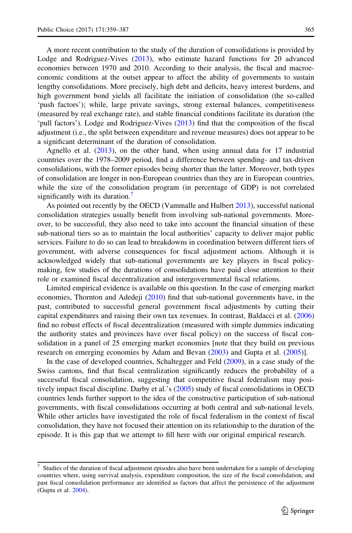A more recent contribution to the study of the duration of consolidations is provided by Lodge and Rodriguez-Vives ([2013\)](#page-27-0), who estimate hazard functions for 20 advanced economies between 1970 and 2010. According to their analysis, the fiscal and macroeconomic conditions at the outset appear to affect the ability of governments to sustain lengthy consolidations. More precisely, high debt and deficits, heavy interest burdens, and high government bond yields all facilitate the initiation of consolidation (the so-called 'push factors'); while, large private savings, strong external balances, competitiveness (measured by real exchange rate), and stable financial conditions facilitate its duration (the 'pull factors'). Lodge and Rodriguez-Vives [\(2013\)](#page-27-0) find that the composition of the fiscal adjustment (i.e., the split between expenditure and revenue measures) does not appear to be a significant determinant of the duration of consolidation.

Agnello et al. ([2013\)](#page-26-0), on the other hand, when using annual data for 17 industrial countries over the 1978–2009 period, find a difference between spending- and tax-driven consolidations, with the former episodes being shorter than the latter. Moreover, both types of consolidation are longer in non-European countries than they are in European countries, while the size of the consolidation program (in percentage of GDP) is not correlated significantly with its duration.<sup>7</sup>

As pointed out recently by the OECD (Vammalle and Hulbert [2013](#page-27-0)), successful national consolidation strategies usually benefit from involving sub-national governments. Moreover, to be successful, they also need to take into account the financial situation of these sub-national tiers so as to maintain the local authorities' capacity to deliver major public services. Failure to do so can lead to breakdowns in coordination between different tiers of government, with adverse consequences for fiscal adjustment actions. Although it is acknowledged widely that sub-national governments are key players in fiscal policymaking, few studies of the durations of consolidations have paid close attention to their role or examined fiscal decentralization and intergovernmental fiscal relations.

Limited empirical evidence is available on this question. In the case of emerging market economies, Thornton and Adedeji [\(2010](#page-27-0)) find that sub-national governments have, in the past, contributed to successful general government fiscal adjustments by cutting their capital expenditures and raising their own tax revenues. In contrast, Baldacci et al. ([2006](#page-26-0)) find no robust effects of fiscal decentralization (measured with simple dummies indicating the authority states and provinces have over fiscal policy) on the success of fiscal consolidation in a panel of 25 emerging market economies [note that they build on previous research on emerging economies by Adam and Bevan [\(2003](#page-26-0)) and Gupta et al. [\(2005](#page-27-0))].

In the case of developed countries, Schaltegger and Feld ([2009\)](#page-27-0), in a case study of the Swiss cantons, find that fiscal centralization significantly reduces the probability of a successful fiscal consolidation, suggesting that competitive fiscal federalism may positively impact fiscal discipline. Darby et al.'s [\(2005\)](#page-26-0) study of fiscal consolidations in OECD countries lends further support to the idea of the constructive participation of sub-national governments, with fiscal consolidations occurring at both central and sub-national levels. While other articles have investigated the role of fiscal federalism in the context of fiscal consolidation, they have not focused their attention on its relationship to the duration of the episode. It is this gap that we attempt to fill here with our original empirical research.

<sup>7</sup> Studies of the duration of fiscal adjustment episodes also have been undertaken for a sample of developing countries where, using survival analysis, expenditure composition, the size of the fiscal consolidation, and past fiscal consolidation performance are identified as factors that affect the persistence of the adjustment (Gupta et al. [2004](#page-27-0)).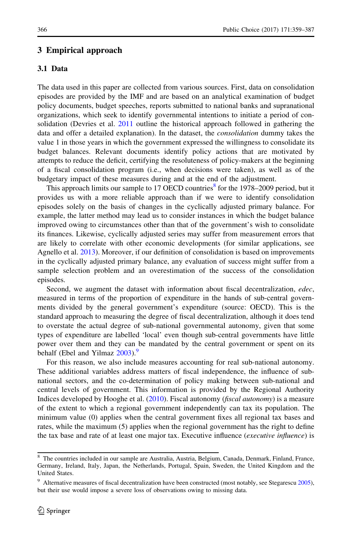# <span id="page-7-0"></span>3 Empirical approach

#### 3.1 Data

The data used in this paper are collected from various sources. First, data on consolidation episodes are provided by the IMF and are based on an analytical examination of budget policy documents, budget speeches, reports submitted to national banks and supranational organizations, which seek to identify governmental intentions to initiate a period of con-solidation (Devries et al. [2011](#page-26-0) outline the historical approach followed in gathering the data and offer a detailed explanation). In the dataset, the consolidation dummy takes the value 1 in those years in which the government expressed the willingness to consolidate its budget balances. Relevant documents identify policy actions that are motivated by attempts to reduce the deficit, certifying the resoluteness of policy-makers at the beginning of a fiscal consolidation program (i.e., when decisions were taken), as well as of the budgetary impact of these measures during and at the end of the adjustment.

This approach limits our sample to 17 OECD countries<sup>8</sup> for the 1978–2009 period, but it provides us with a more reliable approach than if we were to identify consolidation episodes solely on the basis of changes in the cyclically adjusted primary balance. For example, the latter method may lead us to consider instances in which the budget balance improved owing to circumstances other than that of the government's wish to consolidate its finances. Likewise, cyclically adjusted series may suffer from measurement errors that are likely to correlate with other economic developments (for similar applications, see Agnello et al. [2013](#page-26-0)). Moreover, if our definition of consolidation is based on improvements in the cyclically adjusted primary balance, any evaluation of success might suffer from a sample selection problem and an overestimation of the success of the consolidation episodes.

Second, we augment the dataset with information about fiscal decentralization, edec, measured in terms of the proportion of expenditure in the hands of sub-central governments divided by the general government's expenditure (source: OECD). This is the standard approach to measuring the degree of fiscal decentralization, although it does tend to overstate the actual degree of sub-national governmental autonomy, given that some types of expenditure are labelled 'local' even though sub-central governments have little power over them and they can be mandated by the central government or spent on its behalf (Ebel and Yilmaz  $2003$ ).<sup>9</sup>

For this reason, we also include measures accounting for real sub-national autonomy. These additional variables address matters of fiscal independence, the influence of subnational sectors, and the co-determination of policy making between sub-national and central levels of government. This information is provided by the Regional Authority Indices developed by Hooghe et al. ([2010\)](#page-27-0). Fiscal autonomy (fiscal autonomy) is a measure of the extent to which a regional government independently can tax its population. The minimum value (0) applies when the central government fixes all regional tax bases and rates, while the maximum (5) applies when the regional government has the right to define the tax base and rate of at least one major tax. Executive influence (executive influence) is

<sup>&</sup>lt;sup>8</sup> The countries included in our sample are Australia, Austria, Belgium, Canada, Denmark, Finland, France, Germany, Ireland, Italy, Japan, the Netherlands, Portugal, Spain, Sweden, the United Kingdom and the United States.

Alternative measures of fiscal decentralization have been constructed (most notably, see Stegarescu [2005\)](#page-27-0), but their use would impose a severe loss of observations owing to missing data.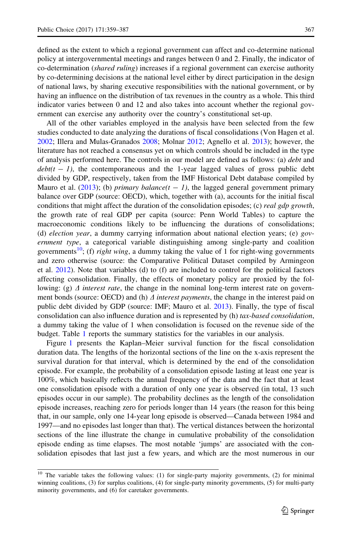defined as the extent to which a regional government can affect and co-determine national policy at intergovernmental meetings and ranges between 0 and 2. Finally, the indicator of co-determination (shared ruling) increases if a regional government can exercise authority by co-determining decisions at the national level either by direct participation in the design of national laws, by sharing executive responsibilities with the national government, or by having an influence on the distribution of tax revenues in the country as a whole. This third indicator varies between 0 and 12 and also takes into account whether the regional government can exercise any authority over the country's constitutional set-up.

All of the other variables employed in the analysis have been selected from the few studies conducted to date analyzing the durations of fiscal consolidations (Von Hagen et al. [2002;](#page-28-0) Illera and Mulas-Granados [2008;](#page-27-0) Molnar [2012;](#page-27-0) Agnello et al. [2013\)](#page-26-0); however, the literature has not reached a consensus yet on which controls should be included in the type of analysis performed here. The controls in our model are defined as follows: (a) debt and  $debt(t - 1)$ , the contemporaneous and the 1-year lagged values of gross public debt divided by GDP, respectively, taken from the IMF Historical Debt database compiled by Mauro et al. ([2013\)](#page-27-0); (b) *primary balance*( $t - 1$ ), the lagged general government primary balance over GDP (source: OECD), which, together with (a), accounts for the initial fiscal conditions that might affect the duration of the consolidation episodes; (c) real gdp growth, the growth rate of real GDP per capita (source: Penn World Tables) to capture the macroeconomic conditions likely to be influencing the durations of consolidations; (d) *election year*, a dummy carrying information about national election years; (e)  $gov$ ernment type, a categorical variable distinguishing among single-party and coalition governments<sup>10</sup>; (f) *right wing*, a dummy taking the value of 1 for right-wing governments and zero otherwise (source: the Comparative Political Dataset compiled by Armingeon et al. [2012](#page-26-0)). Note that variables (d) to (f) are included to control for the political factors affecting consolidation. Finally, the effects of monetary policy are proxied by the following: (g)  $\Delta$  interest rate, the change in the nominal long-term interest rate on government bonds (source: OECD) and (h)  $\Delta$  interest payments, the change in the interest paid on public debt divided by GDP (source: IMF; Mauro et al. [2013\)](#page-27-0). Finally, the type of fiscal consolidation can also influence duration and is represented by (h) tax-based consolidation, a dummy taking the value of 1 when consolidation is focused on the revenue side of the budget. Table [1](#page-9-0) reports the summary statistics for the variables in our analysis.

Figure [1](#page-9-0) presents the Kaplan–Meier survival function for the fiscal consolidation duration data. The lengths of the horizontal sections of the line on the x-axis represent the survival duration for that interval, which is determined by the end of the consolidation episode. For example, the probability of a consolidation episode lasting at least one year is 100%, which basically reflects the annual frequency of the data and the fact that at least one consolidation episode with a duration of only one year is observed (in total, 13 such episodes occur in our sample). The probability declines as the length of the consolidation episode increases, reaching zero for periods longer than 14 years (the reason for this being that, in our sample, only one 14-year long episode is observed—Canada between 1984 and 1997—and no episodes last longer than that). The vertical distances between the horizontal sections of the line illustrate the change in cumulative probability of the consolidation episode ending as time elapses. The most notable 'jumps' are associated with the consolidation episodes that last just a few years, and which are the most numerous in our

<sup>&</sup>lt;sup>10</sup> The variable takes the following values: (1) for single-party majority governments, (2) for minimal winning coalitions, (3) for surplus coalitions, (4) for single-party minority governments, (5) for multi-party minority governments, and (6) for caretaker governments.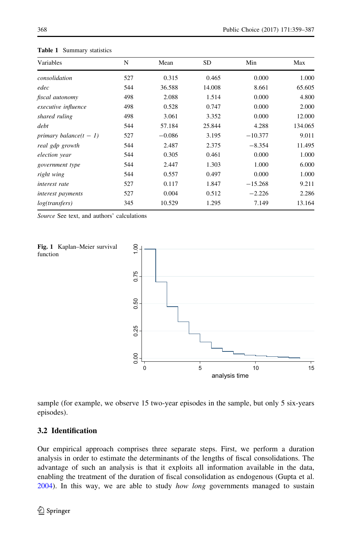| Variables                  | N   | Mean     | <b>SD</b> | Min       | Max     |
|----------------------------|-----|----------|-----------|-----------|---------|
|                            |     |          |           |           |         |
| consolidation              | 527 | 0.315    | 0.465     | 0.000     | 1.000   |
| edec                       | 544 | 36.588   | 14.008    | 8.661     | 65.605  |
| <i>fiscal autonomy</i>     | 498 | 2.088    | 1.514     | 0.000     | 4.800   |
| executive influence        | 498 | 0.528    | 0.747     | 0.000     | 2.000   |
| shared ruling              | 498 | 3.061    | 3.352     | 0.000     | 12.000  |
| debt                       | 544 | 57.184   | 25.844    | 4.288     | 134.065 |
| primary balance( $t - 1$ ) | 527 | $-0.086$ | 3.195     | $-10.377$ | 9.011   |
| real gdp growth            | 544 | 2.487    | 2.375     | $-8.354$  | 11.495  |
| election year              | 544 | 0.305    | 0.461     | 0.000     | 1.000   |
| government type            | 544 | 2.447    | 1.303     | 1.000     | 6.000   |
| right wing                 | 544 | 0.557    | 0.497     | 0.000     | 1.000   |
| interest rate              | 527 | 0.117    | 1.847     | $-15.268$ | 9.211   |
| <i>interest payments</i>   | 527 | 0.004    | 0.512     | $-2.226$  | 2.286   |
| log(transfers)             | 345 | 10.529   | 1.295     | 7.149     | 13.164  |

<span id="page-9-0"></span>Table 1 Summary statistics

Source See text, and authors' calculations



sample (for example, we observe 15 two-year episodes in the sample, but only 5 six-years episodes).

# 3.2 Identification

Our empirical approach comprises three separate steps. First, we perform a duration analysis in order to estimate the determinants of the lengths of fiscal consolidations. The advantage of such an analysis is that it exploits all information available in the data, enabling the treatment of the duration of fiscal consolidation as endogenous (Gupta et al. [2004\)](#page-27-0). In this way, we are able to study *how long* governments managed to sustain

function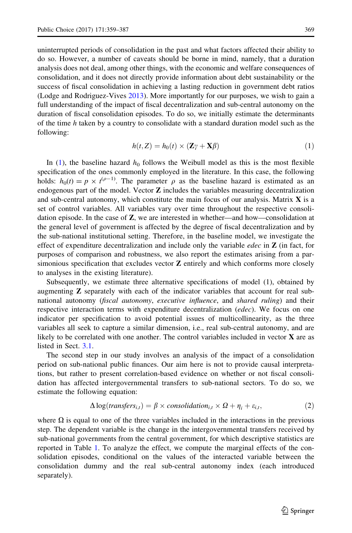<span id="page-10-0"></span>uninterrupted periods of consolidation in the past and what factors affected their ability to do so. However, a number of caveats should be borne in mind, namely, that a duration analysis does not deal, among other things, with the economic and welfare consequences of consolidation, and it does not directly provide information about debt sustainability or the success of fiscal consolidation in achieving a lasting reduction in government debt ratios (Lodge and Rodriguez-Vives [2013](#page-27-0)). More importantly for our purposes, we wish to gain a full understanding of the impact of fiscal decentralization and sub-central autonomy on the duration of fiscal consolidation episodes. To do so, we initially estimate the determinants of the time  $h$  taken by a country to consolidate with a standard duration model such as the following:

$$
h(t, Z) = h_0(t) \times (\mathbf{Z}\gamma + \mathbf{X}\beta)
$$
\n(1)

In (1), the baseline hazard  $h_0$  follows the Weibull model as this is the most flexible specification of the ones commonly employed in the literature. In this case, the following holds:  $h_0(t) = p \times t^{(\rho-1)}$ . The parameter  $\rho$  as the baseline hazard is estimated as an endogenous part of the model. Vector Z includes the variables measuring decentralization and sub-central autonomy, which constitute the main focus of our analysis. Matrix  $X$  is a set of control variables. All variables vary over time throughout the respective consolidation episode. In the case of Z, we are interested in whether—and how—consolidation at the general level of government is affected by the degree of fiscal decentralization and by the sub-national institutional setting. Therefore, in the baseline model, we investigate the effect of expenditure decentralization and include only the variable *edec* in  $\bf{Z}$  (in fact, for purposes of comparison and robustness, we also report the estimates arising from a parsimonious specification that excludes vector  $Z$  entirely and which conforms more closely to analyses in the existing literature).

Subsequently, we estimate three alternative specifications of model (1), obtained by augmenting Z separately with each of the indicator variables that account for real subnational autonomy *(fiscal autonomy, executive influence,* and *shared ruling*) and their respective interaction terms with expenditure decentralization (edec). We focus on one indicator per specification to avoid potential issues of multicollinearity, as the three variables all seek to capture a similar dimension, i.e., real sub-central autonomy, and are likely to be correlated with one another. The control variables included in vector  $X$  are as listed in Sect. [3.1.](#page-7-0)

The second step in our study involves an analysis of the impact of a consolidation period on sub-national public finances. Our aim here is not to provide causal interpretations, but rather to present correlation-based evidence on whether or not fiscal consolidation has affected intergovernmental transfers to sub-national sectors. To do so, we estimate the following equation:

$$
\Delta \log(transfers_{i,t}) = \beta \times convolution_{i,t} \times \Omega + \eta_i + \varepsilon_{i,t}, \tag{2}
$$

where  $\Omega$  is equal to one of the three variables included in the interactions in the previous step. The dependent variable is the change in the intergovernmental transfers received by sub-national governments from the central government, for which descriptive statistics are reported in Table [1](#page-9-0). To analyze the effect, we compute the marginal effects of the consolidation episodes, conditional on the values of the interacted variable between the consolidation dummy and the real sub-central autonomy index (each introduced separately).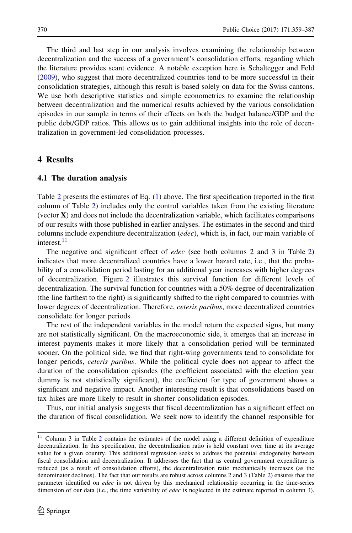<span id="page-11-0"></span>The third and last step in our analysis involves examining the relationship between decentralization and the success of a government's consolidation efforts, regarding which the literature provides scant evidence. A notable exception here is Schaltegger and Feld ([2009\)](#page-27-0), who suggest that more decentralized countries tend to be more successful in their consolidation strategies, although this result is based solely on data for the Swiss cantons. We use both descriptive statistics and simple econometrics to examine the relationship between decentralization and the numerical results achieved by the various consolidation episodes in our sample in terms of their effects on both the budget balance/GDP and the public debt/GDP ratios. This allows us to gain additional insights into the role of decentralization in government-led consolidation processes.

## 4 Results

#### 4.1 The duration analysis

Table [2](#page-12-0) presents the estimates of Eq. ([1\)](#page-10-0) above. The first specification (reported in the first column of Table [2](#page-12-0)) includes only the control variables taken from the existing literature (vector  $X$ ) and does not include the decentralization variable, which facilitates comparisons of our results with those published in earlier analyses. The estimates in the second and third columns include expenditure decentralization  $(edec)$ , which is, in fact, our main variable of interest.<sup>11</sup>

The negative and significant effect of *edec* (see both columns [2](#page-12-0) and 3 in Table 2) indicates that more decentralized countries have a lower hazard rate, i.e., that the probability of a consolidation period lasting for an additional year increases with higher degrees of decentralization. Figure [2](#page-12-0) illustrates this survival function for different levels of decentralization. The survival function for countries with a 50% degree of decentralization (the line farthest to the right) is significantly shifted to the right compared to countries with lower degrees of decentralization. Therefore, *ceteris paribus*, more decentralized countries consolidate for longer periods.

The rest of the independent variables in the model return the expected signs, but many are not statistically significant. On the macroeconomic side, it emerges that an increase in interest payments makes it more likely that a consolidation period will be terminated sooner. On the political side, we find that right-wing governments tend to consolidate for longer periods, *ceteris paribus*. While the political cycle does not appear to affect the duration of the consolidation episodes (the coefficient associated with the election year dummy is not statistically significant), the coefficient for type of government shows a significant and negative impact. Another interesting result is that consolidations based on tax hikes are more likely to result in shorter consolidation episodes.

Thus, our initial analysis suggests that fiscal decentralization has a significant effect on the duration of fiscal consolidation. We seek now to identify the channel responsible for

 $\frac{11}{11}$  Column 3 in Table [2](#page-12-0) contains the estimates of the model using a different definition of expenditure decentralization. In this specification, the decentralization ratio is held constant over time at its average value for a given country. This additional regression seeks to address the potential endogeneity between fiscal consolidation and decentralization. It addresses the fact that as central government expenditure is reduced (as a result of consolidation efforts), the decentralization ratio mechanically increases (as the denominator declines). The fact that our results are robust across columns 2 and 3 (Table [2](#page-12-0)) ensures that the parameter identified on *edec* is not driven by this mechanical relationship occurring in the time-series dimension of our data (i.e., the time variability of *edec* is neglected in the estimate reported in column 3).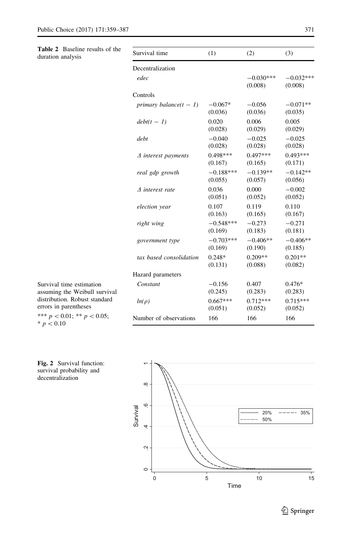<span id="page-12-0"></span>Table 2 Baseline results of the duration analysis

| duration analysis |  |  |
|-------------------|--|--|
|-------------------|--|--|

| Survival time              | (1)         | (2)                    | (3)                    |
|----------------------------|-------------|------------------------|------------------------|
| Decentralization           |             |                        |                        |
| edec                       |             | $-0.030***$<br>(0.008) | $-0.032***$<br>(0.008) |
| Controls                   |             |                        |                        |
| primary balance( $t - 1$ ) | $-0.067*$   | $-0.056$               | $-0.071**$             |
|                            | (0.036)     | (0.036)                | (0.035)                |
| $debt(t-1)$                | 0.020       | 0.006                  | 0.005                  |
|                            | (0.028)     | (0.029)                | (0.029)                |
| debt                       | $-0.040$    | $-0.025$               | $-0.025$               |
|                            | (0.028)     | (0.028)                | (0.028)                |
| $\Delta$ interest payments | $0.498***$  | $0.497***$             | $0.493***$             |
|                            | (0.167)     | (0.165)                | (0.171)                |
| real gdp growth            | $-0.188***$ | $-0.139**$             | $-0.142**$             |
|                            | (0.055)     | (0.057)                | (0.056)                |
| A interest rate            | 0.036       | 0.000                  | $-0.002$               |
|                            | (0.051)     | (0.052)                | (0.052)                |
| election year              | 0.107       | 0.119                  | 0.110                  |
|                            | (0.163)     | (0.165)                | (0.167)                |
| right wing                 | $-0.548***$ | $-0.273$               | $-0.271$               |
|                            | (0.169)     | (0.183)                | (0.181)                |
| government type            | $-0.703***$ | $-0.406**$             | $-0.406**$             |
|                            | (0.169)     | (0.190)                | (0.185)                |
| tax based consolidation    | $0.248*$    | $0.209**$              | $0.201**$              |
|                            | (0.131)     | (0.088)                | (0.082)                |
| Hazard parameters          |             |                        |                        |
| Constant                   | $-0.156$    | 0.407                  | $0.476*$               |
|                            | (0.245)     | (0.283)                | (0.283)                |
| $ln(\rho)$                 | $0.667***$  | $0.712***$             | $0.715***$             |
|                            | (0.051)     | (0.052)                | (0.052)                |
| Number of observations     | 166         | 166                    | 166                    |

Survival time estimation assuming the Weibull survival distribution. Robust standard errors in parentheses

\*\*\*  $p < 0.01$ ; \*\*  $p < 0.05$ ;  $* p < 0.10$ 





 $\underline{\textcircled{\tiny 2}}$  Springer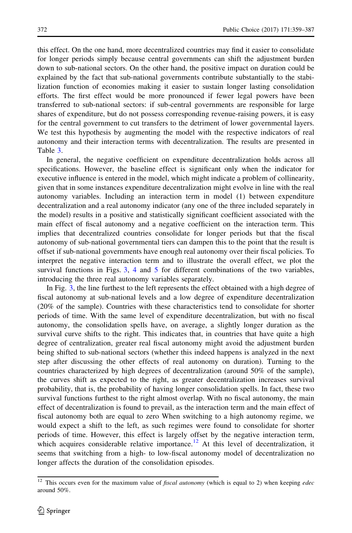this effect. On the one hand, more decentralized countries may find it easier to consolidate for longer periods simply because central governments can shift the adjustment burden down to sub-national sectors. On the other hand, the positive impact on duration could be explained by the fact that sub-national governments contribute substantially to the stabilization function of economies making it easier to sustain longer lasting consolidation efforts. The first effect would be more pronounced if fewer legal powers have been transferred to sub-national sectors: if sub-central governments are responsible for large shares of expenditure, but do not possess corresponding revenue-raising powers, it is easy for the central government to cut transfers to the detriment of lower governmental layers. We test this hypothesis by augmenting the model with the respective indicators of real autonomy and their interaction terms with decentralization. The results are presented in Table [3](#page-14-0).

In general, the negative coefficient on expenditure decentralization holds across all specifications. However, the baseline effect is significant only when the indicator for executive influence is entered in the model, which might indicate a problem of collinearity, given that in some instances expenditure decentralization might evolve in line with the real autonomy variables. Including an interaction term in model (1) between expenditure decentralization and a real autonomy indicator (any one of the three included separately in the model) results in a positive and statistically significant coefficient associated with the main effect of fiscal autonomy and a negative coefficient on the interaction term. This implies that decentralized countries consolidate for longer periods but that the fiscal autonomy of sub-national governmental tiers can dampen this to the point that the result is offset if sub-national governments have enough real autonomy over their fiscal policies. To interpret the negative interaction term and to illustrate the overall effect, we plot the survival functions in Figs.  $3, 4$  $3, 4$  $3, 4$  and  $5$  for different combinations of the two variables, introducing the three real autonomy variables separately.

In Fig. [3](#page-15-0), the line furthest to the left represents the effect obtained with a high degree of fiscal autonomy at sub-national levels and a low degree of expenditure decentralization (20% of the sample). Countries with these characteristics tend to consolidate for shorter periods of time. With the same level of expenditure decentralization, but with no fiscal autonomy, the consolidation spells have, on average, a slightly longer duration as the survival curve shifts to the right. This indicates that, in countries that have quite a high degree of centralization, greater real fiscal autonomy might avoid the adjustment burden being shifted to sub-national sectors (whether this indeed happens is analyzed in the next step after discussing the other effects of real autonomy on duration). Turning to the countries characterized by high degrees of decentralization (around 50% of the sample), the curves shift as expected to the right, as greater decentralization increases survival probability, that is, the probability of having longer consolidation spells. In fact, these two survival functions furthest to the right almost overlap. With no fiscal autonomy, the main effect of decentralization is found to prevail, as the interaction term and the main effect of fiscal autonomy both are equal to zero When switching to a high autonomy regime, we would expect a shift to the left, as such regimes were found to consolidate for shorter periods of time. However, this effect is largely offset by the negative interaction term, which acquires considerable relative importance.<sup>12</sup> At this level of decentralization, it seems that switching from a high- to low-fiscal autonomy model of decentralization no longer affects the duration of the consolidation episodes.

<sup>&</sup>lt;sup>12</sup> This occurs even for the maximum value of *fiscal autonomy* (which is equal to 2) when keeping *edec* around 50%.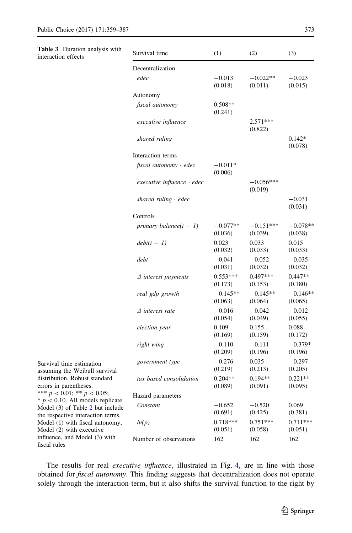<span id="page-14-0"></span>Table 3 Duration analysis with interaction effects

| Survival time                      | (1)                  | (2)                    | (3)                 |
|------------------------------------|----------------------|------------------------|---------------------|
| Decentralization                   |                      |                        |                     |
| edec                               | $-0.013$             | $-0.022**$             | $-0.023$            |
|                                    | (0.018)              | (0.011)                | (0.015)             |
| Autonomy                           |                      |                        |                     |
| fiscal autonomy                    | $0.508**$<br>(0.241) |                        |                     |
| executive influence                |                      | $2.571***$<br>(0.822)  |                     |
| shared ruling                      |                      |                        | $0.142*$<br>(0.078) |
| Interaction terms                  |                      |                        |                     |
| fiscal autonomy $\cdot$ edec       | $-0.011*$<br>(0.006) |                        |                     |
| $executive$ influence $\cdot$ edec |                      | $-0.056***$<br>(0.019) |                     |
| shared ruling $\cdot$ edec         |                      |                        | $-0.031$<br>(0.031) |
| Controls                           |                      |                        |                     |
| primary balance( $t - 1$ )         | $-0.077**$           | $-0.151***$            | $-0.078**$          |
|                                    | (0.036)              | (0.039)                | (0.038)             |
| $debt(t-1)$                        | 0.023                | 0.033                  | 0.015               |
|                                    | (0.032)              | (0.033)                | (0.033)             |
| debt                               | $-0.041$             | $-0.052$               | $-0.035$            |
|                                    | (0.031)              | (0.032)                | (0.032)             |
| $\Delta$ interest payments         | $0.553***$           | $0.497***$             | $0.447**$           |
|                                    | (0.173)              | (0.153)                | (0.180)             |
| real gdp growth                    | $-0.145**$           | $-0.145**$             | $-0.146**$          |
|                                    | (0.063)              | (0.064)                | (0.065)             |
| $\Delta$ interest rate             | $-0.016$             | $-0.042$               | $-0.012$            |
|                                    | (0.054)              | (0.049)                | (0.055)             |
| election year                      | 0.109                | 0.155                  | 0.088               |
|                                    | (0.169)              | (0.159)                | (0.172)             |
| right wing                         | $-0.110$             | $-0.111$               | $-0.379*$           |
|                                    | (0.209)              | (0.196)                | (0.196)             |
| government type                    | $-0.276$             | 0.035                  | $-0.297$            |
|                                    | (0.219)              | (0.213)                | (0.205)             |
| tax based consolidation            | $0.204**$            | $0.194**$              | $0.221**$           |
|                                    | (0.089)              | (0.091)                | (0.095)             |
| Hazard parameters                  |                      |                        |                     |
| Constant                           | $-0.652$             | $-0.520$               | 0.069               |
|                                    | (0.691)              | (0.425)                | (0.381)             |
| $ln(\rho)$                         | $0.718***$           | $0.751***$             | $0.711***$          |
|                                    | (0.051)              | (0.058)                | (0.051)             |
| Number of observations             | 162                  | 162                    | 162                 |

Survival time estimation assuming the Weibull survival distribution. Robust standard errors in parentheses. \*\*\*  $p < 0.01$ ; \*\*  $p < 0.05$ ;  $* p < 0.10$ . All models replicate Model (3) of Table [2](#page-12-0) but include the respective interaction terms. Model (1) with fiscal autonomy, Model (2) with executive influence, and Model (3) with fiscal rules

The results for real *executive influence*, illustrated in Fig. [4](#page-15-0), are in line with those obtained for fiscal autonomy. This finding suggests that decentralization does not operate solely through the interaction term, but it also shifts the survival function to the right by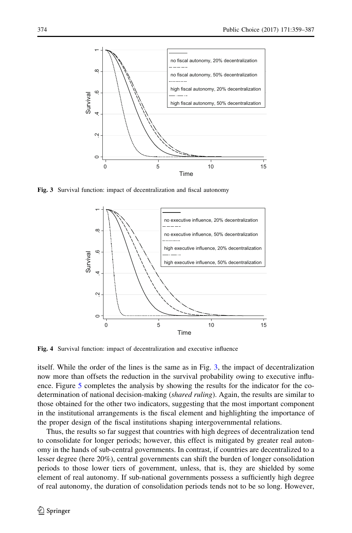<span id="page-15-0"></span>

Fig. 3 Survival function: impact of decentralization and fiscal autonomy



Fig. 4 Survival function: impact of decentralization and executive influence

itself. While the order of the lines is the same as in Fig. 3, the impact of decentralization now more than offsets the reduction in the survival probability owing to executive influence. Figure [5](#page-16-0) completes the analysis by showing the results for the indicator for the codetermination of national decision-making (shared ruling). Again, the results are similar to those obtained for the other two indicators, suggesting that the most important component in the institutional arrangements is the fiscal element and highlighting the importance of the proper design of the fiscal institutions shaping intergovernmental relations.

Thus, the results so far suggest that countries with high degrees of decentralization tend to consolidate for longer periods; however, this effect is mitigated by greater real autonomy in the hands of sub-central governments. In contrast, if countries are decentralized to a lesser degree (here 20%), central governments can shift the burden of longer consolidation periods to those lower tiers of government, unless, that is, they are shielded by some element of real autonomy. If sub-national governments possess a sufficiently high degree of real autonomy, the duration of consolidation periods tends not to be so long. However,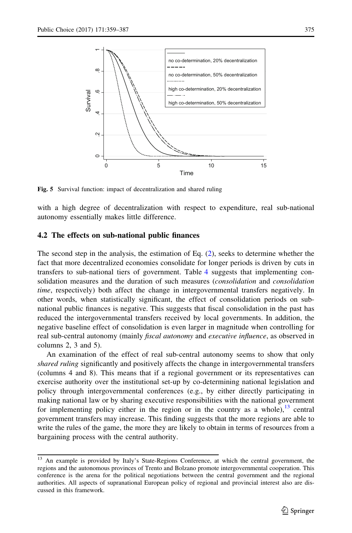<span id="page-16-0"></span>

Fig. 5 Survival function: impact of decentralization and shared ruling

with a high degree of decentralization with respect to expenditure, real sub-national autonomy essentially makes little difference.

#### 4.2 The effects on sub-national public finances

The second step in the analysis, the estimation of Eq. ([2](#page-10-0)), seeks to determine whether the fact that more decentralized economies consolidate for longer periods is driven by cuts in transfers to sub-national tiers of government. Table [4](#page-17-0) suggests that implementing consolidation measures and the duration of such measures (consolidation and consolidation time, respectively) both affect the change in intergovernmental transfers negatively. In other words, when statistically significant, the effect of consolidation periods on subnational public finances is negative. This suggests that fiscal consolidation in the past has reduced the intergovernmental transfers received by local governments. In addition, the negative baseline effect of consolidation is even larger in magnitude when controlling for real sub-central autonomy (mainly *fiscal autonomy* and *executive influence*, as observed in columns 2, 3 and 5).

An examination of the effect of real sub-central autonomy seems to show that only shared ruling significantly and positively affects the change in intergovernmental transfers (columns 4 and 8). This means that if a regional government or its representatives can exercise authority over the institutional set-up by co-determining national legislation and policy through intergovernmental conferences (e.g., by either directly participating in making national law or by sharing executive responsibilities with the national government for implementing policy either in the region or in the country as a whole),  $\frac{13}{3}$  central government transfers may increase. This finding suggests that the more regions are able to write the rules of the game, the more they are likely to obtain in terms of resources from a bargaining process with the central authority.

<sup>&</sup>lt;sup>13</sup> An example is provided by Italy's State-Regions Conference, at which the central government, the regions and the autonomous provinces of Trento and Bolzano promote intergovernmental cooperation. This conference is the arena for the political negotiations between the central government and the regional authorities. All aspects of supranational European policy of regional and provincial interest also are discussed in this framework.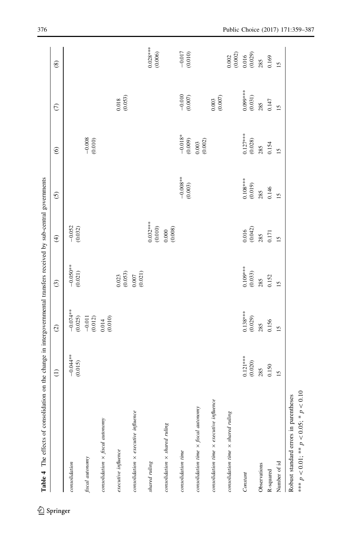<span id="page-17-0"></span>

| Table 4 The effects of consolidation on the change in intergovernmental transfers received by sub-central governments |                       |                       |                                               |                       |                       |                       |                         |                       |
|-----------------------------------------------------------------------------------------------------------------------|-----------------------|-----------------------|-----------------------------------------------|-----------------------|-----------------------|-----------------------|-------------------------|-----------------------|
|                                                                                                                       | $\ominus$             | $\widehat{\odot}$     | $\odot$                                       | $\bigoplus$           | $\odot$               | $\circledcirc$        | $\epsilon$              | $^\circledR$          |
| consolidation                                                                                                         | $-0.044**$<br>(0.015) | $-0.074**$<br>(0.025) | $-0.050**$<br>(0.021)                         | $-0.052$<br>(0.032)   |                       |                       |                         |                       |
| fiscal autonomy                                                                                                       |                       | $-0.011$<br>(0.012)   |                                               |                       |                       | $-0.008$<br>(0.010)   |                         |                       |
| $\emph{conditional}$ x fiscal autonomy                                                                                |                       | $0.014$<br>$(0.010)$  |                                               |                       |                       |                       |                         |                       |
| executive influence                                                                                                   |                       |                       | $\begin{array}{c} 0.023 \\ 0.053 \end{array}$ |                       |                       |                       | $\frac{0.018}{(0.053)}$ |                       |
| consolidation x executive influence                                                                                   |                       |                       | $0.007$<br>(0.021)                            |                       |                       |                       |                         |                       |
| shared ruling                                                                                                         |                       |                       |                                               | $0.032***$<br>(0.010) |                       |                       |                         | $0.028***$<br>(0.006) |
| $\emph{conditional}$ $\times$ shared ruling                                                                           |                       |                       |                                               |                       |                       |                       |                         |                       |
| consolidation time                                                                                                    |                       |                       |                                               |                       | $-0.008**$<br>(0.003) | $-0.018*$<br>(0.009)  | $-0.010$<br>(0.007)     | $-0.017$<br>(0.010)   |
| consolidation time x fiscal autonomy                                                                                  |                       |                       |                                               |                       |                       | $0.003$<br>$(0.002)$  |                         |                       |
| consolidation time x executive influence                                                                              |                       |                       |                                               |                       |                       |                       | (0.007)<br>0.003        |                       |
| $\emph{conditional time} \times \emph{shared ruling}$                                                                 |                       |                       |                                               |                       |                       |                       |                         | $0.002$<br>$(0.002)$  |
| Constant                                                                                                              | $0.121***$<br>(0.020) | $0.138***$<br>(0.029) | $0.109***$<br>(0.033)                         | $0.016$<br>$(0.042)$  | $0.108***$<br>(0.019) | $0.127***$<br>(0.028) | $0.099***$<br>(0.031)   | $0.016$<br>$(0.029)$  |
| Observations                                                                                                          | 285                   | 285                   | 285                                           | 285                   | 285                   | 285                   | 285                     | 285                   |
| R-squared                                                                                                             | 0.150                 | 0.156                 | 0.152                                         | $0.171$               | 0.146                 | 0.154                 | 0.147                   | 0.169                 |
| Number of id                                                                                                          | $\overline{15}$       | $\overline{15}$       | $\overline{15}$                               | $\overline{15}$       | $\overline{15}$       | $15 \,$               | $15 \,$                 | $\overline{15}$       |
| 0.10<br>Robust standard errors in parentheses<br>*** $p < 0.01$ ; ** $p < 0.05$ ; * $p <$                             |                       |                       |                                               |                       |                       |                       |                         |                       |

 $\underline{\textcircled{\tiny 2}}$  Springer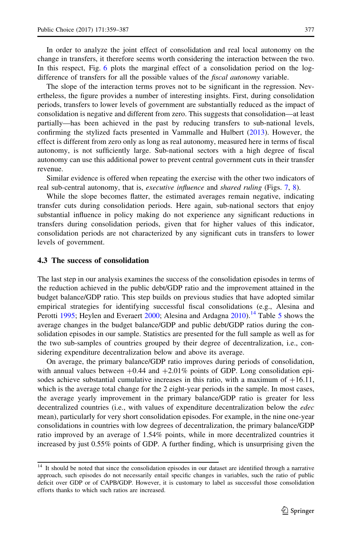In order to analyze the joint effect of consolidation and real local autonomy on the change in transfers, it therefore seems worth considering the interaction between the two. In this respect, Fig. [6](#page-19-0) plots the marginal effect of a consolidation period on the logdifference of transfers for all the possible values of the fiscal autonomy variable.

The slope of the interaction terms proves not to be significant in the regression. Nevertheless, the figure provides a number of interesting insights. First, during consolidation periods, transfers to lower levels of government are substantially reduced as the impact of consolidation is negative and different from zero. This suggests that consolidation—at least partially—has been achieved in the past by reducing transfers to sub-national levels, confirming the stylized facts presented in Vammalle and Hulbert ([2013\)](#page-27-0). However, the effect is different from zero only as long as real autonomy, measured here in terms of fiscal autonomy, is not sufficiently large. Sub-national sectors with a high degree of fiscal autonomy can use this additional power to prevent central government cuts in their transfer revenue.

Similar evidence is offered when repeating the exercise with the other two indicators of real sub-central autonomy, that is, *executive influence* and *shared ruling* (Figs. [7](#page-20-0), [8](#page-20-0)).

While the slope becomes flatter, the estimated averages remain negative, indicating transfer cuts during consolidation periods. Here again, sub-national sectors that enjoy substantial influence in policy making do not experience any significant reductions in transfers during consolidation periods, given that for higher values of this indicator, consolidation periods are not characterized by any significant cuts in transfers to lower levels of government.

#### 4.3 The success of consolidation

The last step in our analysis examines the success of the consolidation episodes in terms of the reduction achieved in the public debt/GDP ratio and the improvement attained in the budget balance/GDP ratio. This step builds on previous studies that have adopted similar empirical strategies for identifying successful fiscal consolidations (e.g., Alesina and Perotti  $1995$  $1995$ ; Heylen and Everaert  $2000$ ; Alesina and Ardagna  $2010$ ).<sup>14</sup> Table 5 shows the average changes in the budget balance/GDP and public debt/GDP ratios during the consolidation episodes in our sample. Statistics are presented for the full sample as well as for the two sub-samples of countries grouped by their degree of decentralization, i.e., considering expenditure decentralization below and above its average.

On average, the primary balance/GDP ratio improves during periods of consolidation, with annual values between  $+0.44$  and  $+2.01\%$  points of GDP. Long consolidation episodes achieve substantial cumulative increases in this ratio, with a maximum of  $+16.11$ , which is the average total change for the 2 eight-year periods in the sample. In most cases, the average yearly improvement in the primary balance/GDP ratio is greater for less decentralized countries (i.e., with values of expenditure decentralization below the *edec* mean), particularly for very short consolidation episodes. For example, in the nine one-year consolidations in countries with low degrees of decentralization, the primary balance/GDP ratio improved by an average of 1.54% points, while in more decentralized countries it increased by just 0.55% points of GDP. A further finding, which is unsurprising given the

 $\frac{14}{14}$  It should be noted that since the consolidation episodes in our dataset are identified through a narrative approach, such episodes do not necessarily entail specific changes in variables, such the ratio of public deficit over GDP or of CAPB/GDP. However, it is customary to label as successful those consolidation efforts thanks to which such ratios are increased.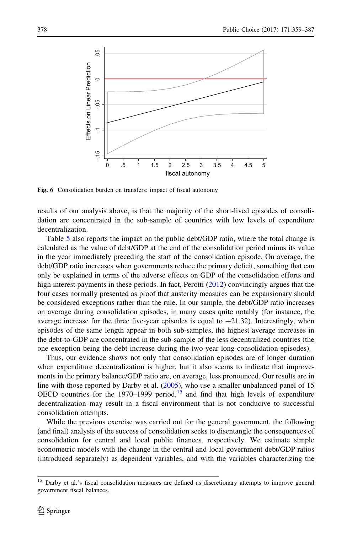

Fig. 6 Consolidation burden on transfers: impact of fiscal autonomy

results of our analysis above, is that the majority of the short-lived episodes of consolidation are concentrated in the sub-sample of countries with low levels of expenditure decentralization.

<span id="page-19-0"></span>Table [5](#page-21-0) also reports the impact on the public debt/GDP ratio, where the total change is calculated as the value of debt/GDP at the end of the consolidation period minus its value in the year immediately preceding the start of the consolidation episode. On average, the debt/GDP ratio increases when governments reduce the primary deficit, something that can only be explained in terms of the adverse effects on GDP of the consolidation efforts and high interest payments in these periods. In fact, Perotti [\(2012](#page-27-0)) convincingly argues that the four cases normally presented as proof that austerity measures can be expansionary should be considered exceptions rather than the rule. In our sample, the debt/GDP ratio increases on average during consolidation episodes, in many cases quite notably (for instance, the average increase for the three five-year episodes is equal to  $+21.32$ ). Interestingly, when episodes of the same length appear in both sub-samples, the highest average increases in the debt-to-GDP are concentrated in the sub-sample of the less decentralized countries (the one exception being the debt increase during the two-year long consolidation episodes). ( $\frac{5}{2}$   $\frac{2}{3}$   $\frac{2}{3}$   $\frac{2}{3}$   $\frac{2}{3}$   $\frac{2}{3}$   $\frac{2}{3}$   $\frac{2}{3}$   $\frac{2}{3}$   $\frac{2}{3}$   $\frac{2}{3}$   $\frac{2}{3}$   $\frac{2}{3}$   $\frac{2}{3}$   $\frac{2}{3}$   $\frac{2}{3}$   $\frac{2}{3}$   $\frac{2}{3}$   $\frac{2}{3}$   $\frac{2}{3}$   $\frac{2}{3}$   $\frac{2}{3}$ 

Thus, our evidence shows not only that consolidation episodes are of longer duration when expenditure decentralization is higher, but it also seems to indicate that improvements in the primary balance/GDP ratio are, on average, less pronounced. Our results are in line with those reported by Darby et al. ([2005\)](#page-26-0), who use a smaller unbalanced panel of 15 OECD countries for the 1970–1999 period, $15$  and find that high levels of expenditure decentralization may result in a fiscal environment that is not conducive to successful consolidation attempts.

While the previous exercise was carried out for the general government, the following (and final) analysis of the success of consolidation seeks to disentangle the consequences of consolidation for central and local public finances, respectively. We estimate simple econometric models with the change in the central and local government debt/GDP ratios

<sup>15</sup> Darby et al.'s fiscal consolidation measures are defined as discretionary attempts to improve general government fiscal balances.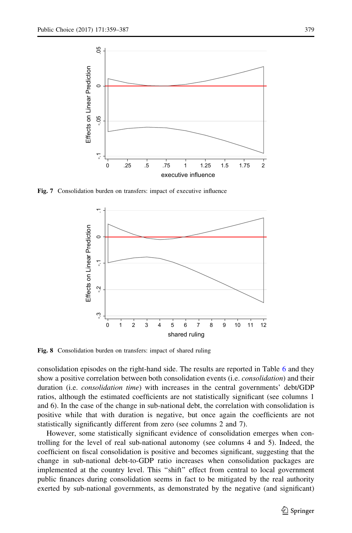

Fig. 7 Consolidation burden on transfers: impact of executive influence

<span id="page-20-0"></span>

Fig. 8 Consolidation burden on transfers: impact of shared ruling

consolidation episodes on the right-hand side. The results are reported in Table [6](#page-22-0) and they show a positive correlation between both consolidation events (i.e. *consolidation*) and their duration (i.e. *consolidation time*) with increases in the central governments' debt/GDP ratios, although the estimated coefficients are not statistically significant (see columns 1 and 6). In the case of the change in sub-national debt, the correlation with consolidation is positive while that with duration is negative, but once again the coefficients are not statistically significantly different from zero (see columns 2 and 7).

However, some statistically significant evidence of consolidation emerges when controlling for the level of real sub-national autonomy (see columns 4 and 5). Indeed, the coefficient on fiscal consolidation is positive and becomes significant, suggesting that the change in sub-national debt-to-GDP ratio increases when consolidation packages are implemented at the country level. This ''shift'' effect from central to local government public finances during consolidation seems in fact to be mitigated by the real authority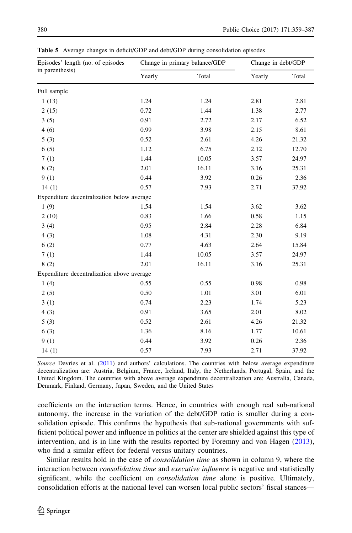| Episodes' length (no. of episodes          |        | Change in primary balance/GDP | Change in debt/GDP |       |
|--------------------------------------------|--------|-------------------------------|--------------------|-------|
| in parenthesis)                            | Yearly | Total                         | Yearly             | Total |
| Full sample                                |        |                               |                    |       |
| 1(13)                                      | 1.24   | 1.24                          | 2.81               | 2.81  |
| 2(15)                                      | 0.72   | 1.44                          | 1.38               | 2.77  |
| 3(5)                                       | 0.91   | 2.72                          | 2.17               | 6.52  |
| 4(6)                                       | 0.99   | 3.98                          | 2.15               | 8.61  |
| 5(3)                                       | 0.52   | 2.61                          | 4.26               | 21.32 |
| 6(5)                                       | 1.12   | 6.75                          | 2.12               | 12.70 |
| 7(1)                                       | 1.44   | 10.05                         | 3.57               | 24.97 |
| 8(2)                                       | 2.01   | 16.11                         | 3.16               | 25.31 |
| 9(1)                                       | 0.44   | 3.92                          | 0.26               | 2.36  |
| 14(1)                                      | 0.57   | 7.93                          | 2.71               | 37.92 |
| Expenditure decentralization below average |        |                               |                    |       |
| 1(9)                                       | 1.54   | 1.54                          | 3.62               | 3.62  |
| 2(10)                                      | 0.83   | 1.66                          | 0.58               | 1.15  |
| 3(4)                                       | 0.95   | 2.84                          | 2.28               | 6.84  |
| 4(3)                                       | 1.08   | 4.31                          | 2.30               | 9.19  |
| 6(2)                                       | 0.77   | 4.63                          | 2.64               | 15.84 |
| 7(1)                                       | 1.44   | 10.05                         | 3.57               | 24.97 |
| 8(2)                                       | 2.01   | 16.11                         | 3.16               | 25.31 |
| Expenditure decentralization above average |        |                               |                    |       |
| 1(4)                                       | 0.55   | 0.55                          | 0.98               | 0.98  |
| 2(5)                                       | 0.50   | 1.01                          | 3.01               | 6.01  |
| 3(1)                                       | 0.74   | 2.23                          | 1.74               | 5.23  |
| 4(3)                                       | 0.91   | 3.65                          | 2.01               | 8.02  |
| 5(3)                                       | 0.52   | 2.61                          | 4.26               | 21.32 |
| 6(3)                                       | 1.36   | 8.16                          | 1.77               | 10.61 |
| 9(1)                                       | 0.44   | 3.92                          | 0.26               | 2.36  |
| 14(1)                                      | 0.57   | 7.93                          | 2.71               | 37.92 |
|                                            |        |                               |                    |       |

<span id="page-21-0"></span>Table 5 Average changes in deficit/GDP and debt/GDP during consolidation episodes

Source Devries et al. ([2011\)](#page-26-0) and authors' calculations. The countries with below average expenditure decentralization are: Austria, Belgium, France, Ireland, Italy, the Netherlands, Portugal, Spain, and the United Kingdom. The countries with above average expenditure decentralization are: Australia, Canada, Denmark, Finland, Germany, Japan, Sweden, and the United States

coefficients on the interaction terms. Hence, in countries with enough real sub-national autonomy, the increase in the variation of the debt/GDP ratio is smaller during a consolidation episode. This confirms the hypothesis that sub-national governments with sufficient political power and influence in politics at the center are shielded against this type of intervention, and is in line with the results reported by Foremny and von Hagen [\(2013](#page-27-0)), who find a similar effect for federal versus unitary countries.

Similar results hold in the case of consolidation time as shown in column 9, where the interaction between *consolidation time* and *executive influence* is negative and statistically significant, while the coefficient on *consolidation time* alone is positive. Ultimately, consolidation efforts at the national level can worsen local public sectors' fiscal stances—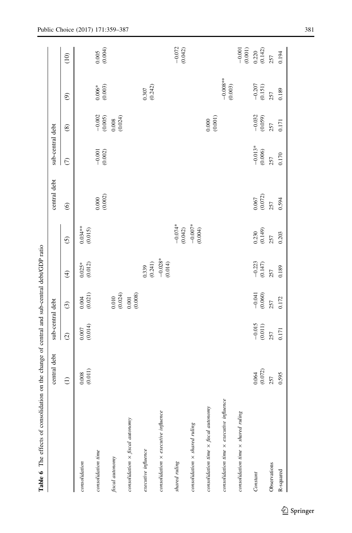<span id="page-22-0"></span>

| Table 6 The effects of consolidation on the change of central and sub-central debt/GDP ratio |                                               |                      |                      |                      |                       |                                                |                      |                      |                          |                       |
|----------------------------------------------------------------------------------------------|-----------------------------------------------|----------------------|----------------------|----------------------|-----------------------|------------------------------------------------|----------------------|----------------------|--------------------------|-----------------------|
|                                                                                              | central debt                                  | sub-central debt     |                      |                      |                       | central debt                                   | sub-central debt     |                      |                          |                       |
|                                                                                              | $\ominus$                                     | $\odot$              | $\widehat{c}$        | $\bigoplus$          | $\overline{6}$        | $\circledcirc$                                 | $\widehat{C}$        | $\circledast$        | $\widehat{\mathfrak{G}}$ | $\widehat{E}$         |
| consolidation                                                                                | $\begin{array}{c} 0.008 \\ 0.011 \end{array}$ | $0.007$<br>$(0.014)$ | $0.004$<br>$(0.021)$ | $0.025*$<br>(0.012)  | $0.034***$<br>(0.015) |                                                |                      |                      |                          |                       |
| consolidation time                                                                           |                                               |                      |                      |                      |                       | $0.000$<br>$(0.002)$                           | $-0.001$<br>(0.002)  | $-0.002$<br>(0.005)  | $0.006*$<br>(0.003)      | $0.005$<br>$(0.004)$  |
| fiscal autonomy                                                                              |                                               |                      | $0.010$<br>$(0.024)$ |                      |                       |                                                |                      | $0.008$<br>$(0.024)$ |                          |                       |
| consolidation × fiscal autonomy                                                              |                                               |                      | $0.001$<br>$(0.008)$ |                      |                       |                                                |                      |                      |                          |                       |
| executive influence                                                                          |                                               |                      |                      | $0.339$<br>$(0.241)$ |                       |                                                |                      |                      | $0.307$<br>$(0.242)$     |                       |
| consolidation x executive influence                                                          |                                               |                      |                      | $-0.028*$<br>(0.014) |                       |                                                |                      |                      |                          |                       |
| shared ruling                                                                                |                                               |                      |                      |                      | $-0.074*$<br>(0.042)  |                                                |                      |                      |                          | $-0.072$<br>(0.042)   |
| $consideron \times shared$ ruling                                                            |                                               |                      |                      |                      | $-0.007*$             |                                                |                      |                      |                          |                       |
| consolidation time x fiscal autonomy                                                         |                                               |                      |                      |                      |                       |                                                |                      | $^{0.000}_{(0.001)}$ |                          |                       |
| $\alpha$ consolidation time $\times$ executive influence                                     |                                               |                      |                      |                      |                       |                                                |                      |                      | $-0.008***$<br>(0.003)   |                       |
| $consideration$ time $\times$ shared ruling                                                  |                                               |                      |                      |                      |                       |                                                |                      |                      |                          | $-0.001$<br>(0.001)   |
| Constant                                                                                     | $0.064$<br>$(0.072)$                          | $-0.015$<br>(0.011)  | $-0.041$<br>(0.060)  | $-0.223$<br>(0.147)  | $0.230$<br>$(0.149)$  | $\begin{array}{c} 0.067 \\ 0.072) \end{array}$ | $-0.013*$<br>(0.006) | $-0.032$<br>(0.059)  | $-0.207$<br>(0.151)      | $\frac{0.220}{0.142}$ |
| Observations                                                                                 | 257                                           | 257                  | 257                  | 257                  | 257                   | 257                                            | 257                  | 257                  | 257                      | 257                   |
| R-squared                                                                                    | 0.595                                         | 0.171                | 0.172                | 0.189                | 0.203                 | 0.594                                          | 0.170                | 0.171                | 0.189                    | 0.194                 |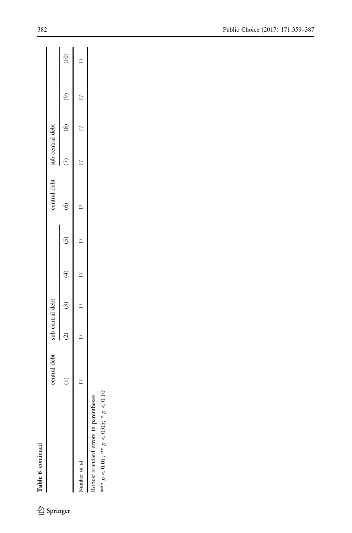|  |   | ا<br>Í<br>₹ |
|--|---|-------------|
|  | ۰ |             |
|  |   | ì           |
|  |   | ĭ           |

 $\underline{\textcircled{\tiny 2}}$  Springer

| <b>Thomas A. Armings</b>                   |                                  |   |  |               |                                  |  |   |                 |
|--------------------------------------------|----------------------------------|---|--|---------------|----------------------------------|--|---|-----------------|
|                                            | central debt<br>sub-central debt |   |  |               | central debt<br>sub-central debt |  |   |                 |
|                                            | י                                | J |  | $\widehat{c}$ | ٥                                |  |   | $\widehat{\Xi}$ |
| Number of id                               |                                  |   |  |               |                                  |  | Ċ |                 |
| Robust standard errors in parentheses      |                                  |   |  |               |                                  |  |   |                 |
| *** $p < 0.01$ ; ** $p < 0.05$ ; * $p < 0$ |                                  |   |  |               |                                  |  |   |                 |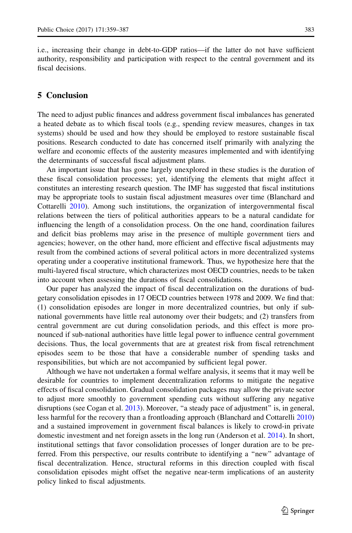<span id="page-24-0"></span>i.e., increasing their change in debt-to-GDP ratios—if the latter do not have sufficient authority, responsibility and participation with respect to the central government and its fiscal decisions.

# 5 Conclusion

The need to adjust public finances and address government fiscal imbalances has generated a heated debate as to which fiscal tools (e.g., spending review measures, changes in tax systems) should be used and how they should be employed to restore sustainable fiscal positions. Research conducted to date has concerned itself primarily with analyzing the welfare and economic effects of the austerity measures implemented and with identifying the determinants of successful fiscal adjustment plans.

An important issue that has gone largely unexplored in these studies is the duration of these fiscal consolidation processes; yet, identifying the elements that might affect it constitutes an interesting research question. The IMF has suggested that fiscal institutions may be appropriate tools to sustain fiscal adjustment measures over time (Blanchard and Cottarelli [2010\)](#page-26-0). Among such institutions, the organization of intergovernmental fiscal relations between the tiers of political authorities appears to be a natural candidate for influencing the length of a consolidation process. On the one hand, coordination failures and deficit bias problems may arise in the presence of multiple government tiers and agencies; however, on the other hand, more efficient and effective fiscal adjustments may result from the combined actions of several political actors in more decentralized systems operating under a cooperative institutional framework. Thus, we hypothesize here that the multi-layered fiscal structure, which characterizes most OECD countries, needs to be taken into account when assessing the durations of fiscal consolidations.

Our paper has analyzed the impact of fiscal decentralization on the durations of budgetary consolidation episodes in 17 OECD countries between 1978 and 2009. We find that: (1) consolidation episodes are longer in more decentralized countries, but only if subnational governments have little real autonomy over their budgets; and (2) transfers from central government are cut during consolidation periods, and this effect is more pronounced if sub-national authorities have little legal power to influence central government decisions. Thus, the local governments that are at greatest risk from fiscal retrenchment episodes seem to be those that have a considerable number of spending tasks and responsibilities, but which are not accompanied by sufficient legal power.

Although we have not undertaken a formal welfare analysis, it seems that it may well be desirable for countries to implement decentralization reforms to mitigate the negative effects of fiscal consolidation. Gradual consolidation packages may allow the private sector to adjust more smoothly to government spending cuts without suffering any negative disruptions (see Cogan et al. [2013](#page-26-0)). Moreover, "a steady pace of adjustment" is, in general, less harmful for the recovery than a frontloading approach (Blanchard and Cottarelli [2010](#page-26-0)) and a sustained improvement in government fiscal balances is likely to crowd-in private domestic investment and net foreign assets in the long run (Anderson et al. [2014\)](#page-26-0). In short, institutional settings that favor consolidation processes of longer duration are to be preferred. From this perspective, our results contribute to identifying a ''new'' advantage of fiscal decentralization. Hence, structural reforms in this direction coupled with fiscal consolidation episodes might offset the negative near-term implications of an austerity policy linked to fiscal adjustments.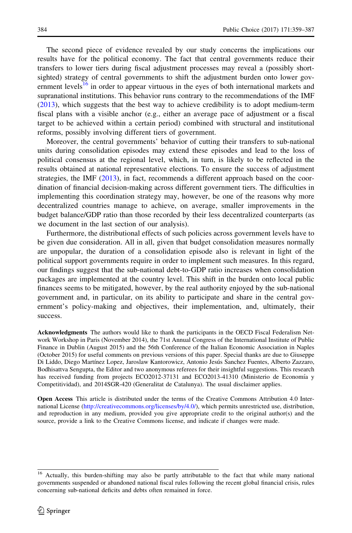The second piece of evidence revealed by our study concerns the implications our results have for the political economy. The fact that central governments reduce their transfers to lower tiers during fiscal adjustment processes may reveal a (possibly shortsighted) strategy of central governments to shift the adjustment burden onto lower government levels<sup>16</sup> in order to appear virtuous in the eyes of both international markets and supranational institutions. This behavior runs contrary to the recommendations of the IMF ([2013\)](#page-27-0), which suggests that the best way to achieve credibility is to adopt medium-term fiscal plans with a visible anchor (e.g., either an average pace of adjustment or a fiscal target to be achieved within a certain period) combined with structural and institutional reforms, possibly involving different tiers of government.

Moreover, the central governments' behavior of cutting their transfers to sub-national units during consolidation episodes may extend these episodes and lead to the loss of political consensus at the regional level, which, in turn, is likely to be reflected in the results obtained at national representative elections. To ensure the success of adjustment strategies, the IMF ([2013\)](#page-27-0), in fact, recommends a different approach based on the coordination of financial decision-making across different government tiers. The difficulties in implementing this coordination strategy may, however, be one of the reasons why more decentralized countries manage to achieve, on average, smaller improvements in the budget balance/GDP ratio than those recorded by their less decentralized counterparts (as we document in the last section of our analysis).

Furthermore, the distributional effects of such policies across government levels have to be given due consideration. All in all, given that budget consolidation measures normally are unpopular, the duration of a consolidation episode also is relevant in light of the political support governments require in order to implement such measures. In this regard, our findings suggest that the sub-national debt-to-GDP ratio increases when consolidation packages are implemented at the country level. This shift in the burden onto local public finances seems to be mitigated, however, by the real authority enjoyed by the sub-national government and, in particular, on its ability to participate and share in the central government's policy-making and objectives, their implementation, and, ultimately, their success.

Acknowledgments The authors would like to thank the participants in the OECD Fiscal Federalism Network Workshop in Paris (November 2014), the 71st Annual Congress of the International Institute of Public Finance in Dublin (August 2015) and the 56th Conference of the Italian Economic Association in Naples (October 2015) for useful comments on previous versions of this paper. Special thanks are due to Giuseppe Di Liddo, Diego Martínez Lopez, Jaroslaw Kantorowicz, Antonio Jesús Sanchez Fuentes, Alberto Zazzaro, Bodhisattva Sengupta, the Editor and two anonymous referees for their insightful suggestions. This research has received funding from projects ECO2012-37131 and ECO2013-41310 (Ministerio de Economía y Competitividad), and 2014SGR-420 (Generalitat de Catalunya). The usual disclaimer applies.

Open Access This article is distributed under the terms of the Creative Commons Attribution 4.0 International License [\(http://creativecommons.org/licenses/by/4.0/\)](http://creativecommons.org/licenses/by/4.0/), which permits unrestricted use, distribution, and reproduction in any medium, provided you give appropriate credit to the original author(s) and the source, provide a link to the Creative Commons license, and indicate if changes were made.

<sup>&</sup>lt;sup>16</sup> Actually, this burden-shifting may also be partly attributable to the fact that while many national governments suspended or abandoned national fiscal rules following the recent global financial crisis, rules concerning sub-national deficits and debts often remained in force.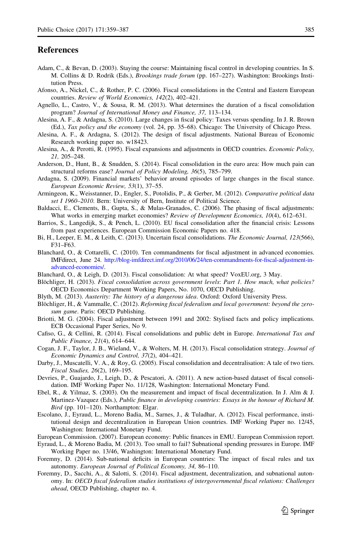## <span id="page-26-0"></span>**References**

- Adam, C., & Bevan, D. (2003). Staying the course: Maintaining fiscal control in developing countries. In S. M. Collins & D. Rodrik (Eds.), Brookings trade forum (pp. 167–227). Washington: Brookings Institution Press.
- Afonso, A., Nickel, C., & Rother, P. C. (2006). Fiscal consolidations in the Central and Eastern European countries. Review of World Economics, 142(2), 402–421.
- Agnello, L., Castro, V., & Sousa, R. M. (2013). What determines the duration of a fiscal consolidation program? Journal of International Money and Finance, 37, 113–134.
- Alesina, A. F., & Ardagna, S. (2010). Large changes in fiscal policy: Taxes versus spending. In J. R. Brown (Ed.), Tax policy and the economy (vol. 24, pp. 35–68). Chicago: The University of Chicago Press.
- Alesina, A. F., & Ardagna, S. (2012). The design of fiscal adjustments. National Bureau of Economic Research working paper no. w18423.
- Alesina, A., & Perotti, R. (1995). Fiscal expansions and adjustments in OECD countries. Economic Policy, 21, 205–248.
- Anderson, D., Hunt, B., & Snudden, S. (2014). Fiscal consolidation in the euro area: How much pain can structural reforms ease? Journal of Policy Modeling, 36(5), 785–799.
- Ardagna, S. (2009). Financial markets' behavior around episodes of large changes in the fiscal stance. European Economic Review, 53(1), 37–55.
- Armingeon, K., Weisstanner, D., Engler, S., Potolidis, P., & Gerber, M. (2012). Comparative political data set I 1960–2010. Bern: University of Bern, Institute of Political Science.
- Baldacci, E., Clements, B., Gupta, S., & Mulas-Granados, C. (2006). The phasing of fiscal adjustments: What works in emerging market economies? Review of Development Economics, 10(4), 612-631.
- Barrios, S., Langedijk, S., & Pench, L. (2010). EU fiscal consolidation after the financial crisis: Lessons from past experiences. European Commission Economic Papers no. 418.
- Bi, H., Leeper, E. M., & Leith, C. (2013). Uncertain fiscal consolidations. The Economic Journal, 123(566), F31–F63.
- Blanchard, O., & Cottarelli, C. (2010). Ten commandments for fiscal adjustment in advanced economies. IMFdirect, June 24. [http://blog-imfdirect.imf.org/2010/06/24/ten-commandments-for-fiscal-adjustment-in](http://blog-imfdirect.imf.org/2010/06/24/ten-commandments-for-fiscal-adjustment-in-advanced-economies/)[advanced-economies/.](http://blog-imfdirect.imf.org/2010/06/24/ten-commandments-for-fiscal-adjustment-in-advanced-economies/)
- Blanchard, O., & Leigh, D. (2013). Fiscal consolidation: At what speed? VoxEU.org, 3 May.
- Blöchliger, H. (2013). Fiscal consolidation across government levels: Part 1. How much, what policies? OECD Economics Department Working Papers, No. 1070, OECD Publishing.
- Blyth, M. (2013). Austerity: The history of a dangerous idea. Oxford: Oxford University Press.
- Blöchliger, H., & Vammalle, C. (2012). Reforming fiscal federalism and local government: beyond the zerosum game. Paris: OECD Publishing.
- Briotti, M. G. (2004). Fiscal adjustment between 1991 and 2002: Stylised facts and policy implications. ECB Occasional Paper Series, No 9.
- Cafiso, G., & Cellini, R. (2014). Fiscal consolidations and public debt in Europe. International Tax and Public Finance, 21(4), 614–644.
- Cogan, J. F., Taylor, J. B., Wieland, V., & Wolters, M. H. (2013). Fiscal consolidation strategy. Journal of Economic Dynamics and Control, 37(2), 404–421.
- Darby, J., Muscatelli, V. A., & Roy, G. (2005). Fiscal consolidation and decentralisation: A tale of two tiers. Fiscal Studies, 26(2), 169–195.
- Devries, P., Guajardo, J., Leigh, D., & Pescatori, A. (2011). A new action-based dataset of fiscal consolidation. IMF Working Paper No. 11/128, Washington: International Monetary Fund.
- Ebel, R., & Yilmaz, S. (2003). On the measurement and impact of fiscal decentralization. In J. Alm & J. Martinez-Vazquez (Eds.), Public finance in developing countries: Essays in the honour of Richard M. Bird (pp. 101-120). Northampton: Elgar.
- Escolano, J., Eyraud, L., Moreno Badia, M., Sarnes, J., & Tuladhar, A. (2012). Fiscal performance, institutional design and decentralization in European Union countries. IMF Working Paper no. 12/45, Washington: International Monetary Fund.
- European Commission. (2007). European economy: Public finances in EMU. European Commission report.
- Eyraud, L., & Moreno Badia, M. (2013). Too small to fail? Subnational spending pressures in Europe. IMF Working Paper no. 13/46, Washington: International Monetary Fund.
- Foremny, D. (2014). Sub-national deficits in European countries: The impact of fiscal rules and tax autonomy. European Journal of Political Economy, 34, 86–110.
- Foremny, D., Sacchi, A., & Salotti, S. (2014). Fiscal adjustment, decentralization, and subnational autonomy. In: OECD fiscal federalism studies institutions of intergovernmental fiscal relations: Challenges ahead, OECD Publishing, chapter no. 4.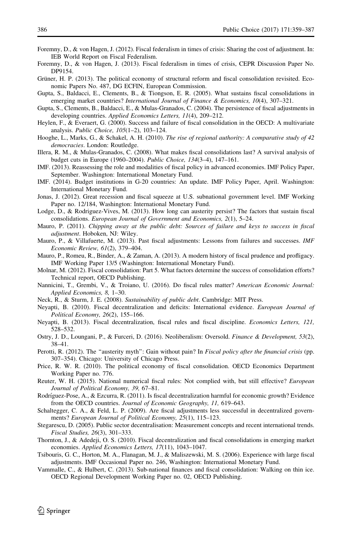- <span id="page-27-0"></span>Foremny, D., & von Hagen, J. (2012). Fiscal federalism in times of crisis: Sharing the cost of adjustment. In: IEB World Report on Fiscal Federalism.
- Foremny, D., & von Hagen, J. (2013). Fiscal federalism in times of crisis, CEPR Discussion Paper No. DP9154.
- Grüner, H. P. (2013). The political economy of structural reform and fiscal consolidation revisited. Economic Papers No. 487, DG ECFIN, European Commission.
- Gupta, S., Baldacci, E., Clements, B., & Tiongson, E. R. (2005). What sustains fiscal consolidations in emerging market countries? International Journal of Finance & Economics, 10(4), 307–321.
- Gupta, S., Clements, B., Baldacci, E., & Mulas-Granados, C. (2004). The persistence of fiscal adjustments in developing countries. Applied Economics Letters, 11(4), 209–212.
- Heylen, F., & Everaert, G. (2000). Success and failure of fiscal consolidation in the OECD: A multivariate analysis. Public Choice, 105(1–2), 103–124.
- Hooghe, L., Marks, G., & Schakel, A. H. (2010). The rise of regional authority: A comparative study of 42 democracies. London: Routledge.
- Illera, R. M., & Mulas-Granados, C. (2008). What makes fiscal consolidations last? A survival analysis of budget cuts in Europe (1960–2004). Public Choice, 134(3–4), 147–161.
- IMF. (2013). Reassessing the role and modalities of fiscal policy in advanced economies. IMF Policy Paper, September. Washington: International Monetary Fund.
- IMF. (2014). Budget institutions in G-20 countries: An update. IMF Policy Paper, April. Washington: International Monetary Fund.
- Jonas, J. (2012). Great recession and fiscal squeeze at U.S. subnational government level. IMF Working Paper no. 12/184, Washington: International Monetary Fund.
- Lodge, D., & Rodriguez-Vives, M. (2013). How long can austerity persist? The factors that sustain fiscal consolidations. European Journal of Government and Economics, 2(1), 5–24.
- Mauro, P. (2011). Chipping away at the public debt: Sources of failure and keys to success in fiscal adjustment. Hoboken, NJ: Wiley.
- Mauro, P., & Villafuerte, M. (2013). Past fiscal adjustments: Lessons from failures and successes. IMF Economic Review, 61(2), 379–404.
- Mauro, P., Romeu, R., Binder, A., & Zaman, A. (2013). A modern history of fiscal prudence and profligacy. IMF Working Paper 13/5 (Washington: International Monetary Fund).
- Molnar, M. (2012). Fiscal consolidation: Part 5. What factors determine the success of consolidation efforts? Technical report, OECD Publishing.
- Nannicini, T., Grembi, V., & Troiano, U. (2016). Do fiscal rules matter? American Economic Journal: Applied Economics, 8, 1–30.
- Neck, R., & Sturm, J. E. (2008). Sustainability of public debt. Cambridge: MIT Press.
- Neyapti, B. (2010). Fiscal decentralization and deficits: International evidence. European Journal of Political Economy, 26(2), 155–166.
- Neyapti, B. (2013). Fiscal decentralization, fiscal rules and fiscal discipline. Economics Letters, 121, 528–532.
- Ostry, J. D., Loungani, P., & Furceri, D. (2016). Neoliberalism: Oversold. Finance & Development, 53(2), 38–41.
- Perotti, R. (2012). The "austerity myth": Gain without pain? In Fiscal policy after the financial crisis (pp. 307–354). Chicago: University of Chicago Press.
- Price, R. W. R. (2010). The political economy of fiscal consolidation. OECD Economics Department Working Paper no. 776.
- Reuter, W. H. (2015). National numerical fiscal rules: Not complied with, but still effective? *European* Journal of Political Economy, 39, 67–81.
- Rodríguez-Pose, A., & Ezcurra, R. (2011). Is fiscal decentralization harmful for economic growth? Evidence from the OECD countries. Journal of Economic Geography, 11, 619–643.
- Schaltegger, C. A., & Feld, L. P. (2009). Are fiscal adjustments less successful in decentralized governments? European Journal of Political Economy, 25(1), 115–123.
- Stegarescu, D. (2005). Public sector decentralisation: Measurement concepts and recent international trends. Fiscal Studies, 26(3), 301–333.
- Thornton, J., & Adedeji, O. S. (2010). Fiscal decentralization and fiscal consolidations in emerging market economies. Applied Economics Letters, 17(11), 1043–1047.
- Tsibouris, G. C., Horton, M. A., Flanagan, M. J., & Maliszewski, M. S. (2006). Experience with large fiscal adjustments. IMF Occasional Paper no. 246, Washington: International Monetary Fund.
- Vammalle, C., & Hulbert, C. (2013). Sub-national finances and fiscal consolidation: Walking on thin ice. OECD Regional Development Working Paper no. 02, OECD Publishing.